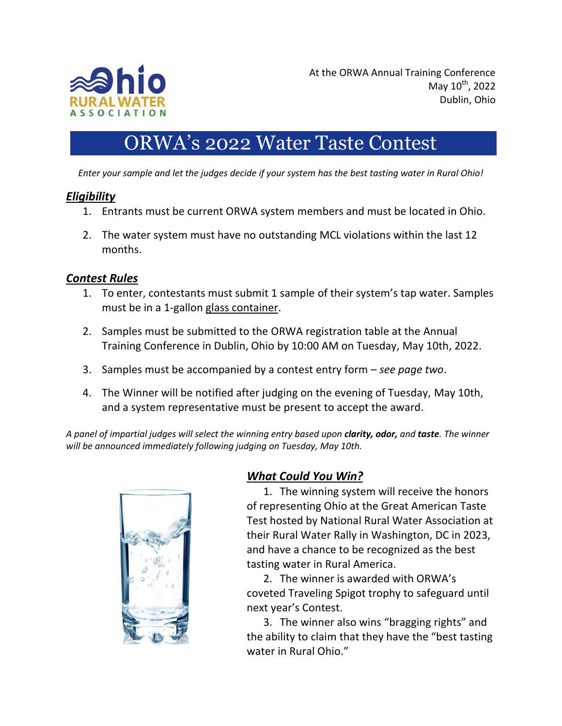

## ORWA's 2022 Water Taste Contest

*Enter your sample and let the judges decide if your system has the best tasting water in Rural Ohio!*

#### *Eligibility*

- 1. Entrants must be current ORWA system members and must be located in Ohio.
- 2. The water system must have no outstanding MCL violations within the last 12 months.

#### *Contest Rules*

- 1. To enter, contestants must submit 1 sample of their system's tap water. Samples must be in a 1-gallon glass container.
- 2. Samples must be submitted to the ORWA registration table at the Annual Training Conference in Dublin, Ohio by 10:00 AM on Tuesday, May 10th, 2022.
- 3. Samples must be accompanied by a contest entry form *see page two*.
- 4. The Winner will be notified after judging on the evening of Tuesday, May 10th, and a system representative must be present to accept the award.

*A panel of impartial judges will select the winning entry based upon clarity, odor, and taste. The winner will be announced immediately following judging on Tuesday, May 10th.*



### *What Could You Win?*

1. The winning system will receive the honors of representing Ohio at the Great American Taste Test hosted by National Rural Water Association at their Rural Water Rally in Washington, DC in 2023, and have a chance to be recognized as the best tasting water in Rural America.

2. The winner is awarded with ORWA's coveted Traveling Spigot trophy to safeguard until next year's Contest.

3. The winner also wins "bragging rights" and the ability to claim that they have the "best tasting water in Rural Ohio."